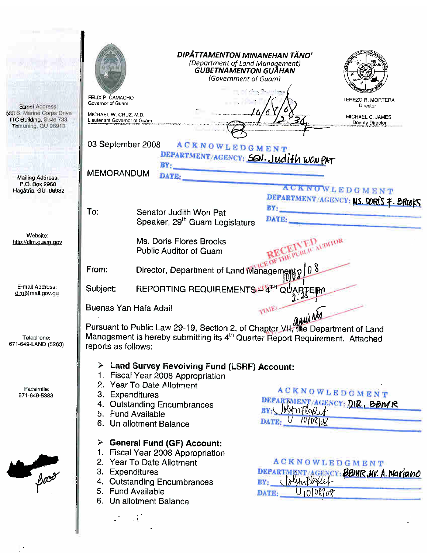| <b>Sircet Address:</b><br>590 S. Marine Corps Drive<br>ITC Building, Suite 733<br>Tamuning, GU 96913 | FELIX P. CAMACHO<br>Governor of Guam<br>MICHAEL W. CRUZ, M.D.<br>Lieutenant Governor of Guam |                                                                                                                                                                                                                 | DIPÅTTAMENTON MINANEHAN TÅNO'<br>(Department of Land Management)<br>GUBETNAMENTON GUÃHAN<br>(Government of Guam) | TEREZO R. MORTERA<br>Director<br>MICHAEL C. JAMES<br>Deputy Director |
|------------------------------------------------------------------------------------------------------|----------------------------------------------------------------------------------------------|-----------------------------------------------------------------------------------------------------------------------------------------------------------------------------------------------------------------|------------------------------------------------------------------------------------------------------------------|----------------------------------------------------------------------|
|                                                                                                      | 03 September 2008                                                                            | <b>ACKNOWLEDGMENT</b>                                                                                                                                                                                           |                                                                                                                  |                                                                      |
|                                                                                                      |                                                                                              | BY:                                                                                                                                                                                                             | DEPARTMENT/AGENCY: SON. Judith WON PAT                                                                           |                                                                      |
| Mailing Address:<br>P.O. Box 2950                                                                    | <b>MEMORANDUM</b>                                                                            | DATE:                                                                                                                                                                                                           |                                                                                                                  |                                                                      |
| Hagatña, GU 96932                                                                                    |                                                                                              |                                                                                                                                                                                                                 |                                                                                                                  | <b>ACKNOWLEDGMENT</b>                                                |
|                                                                                                      | To:                                                                                          | Senator Judith Won Pat<br>Speaker, 29 <sup>th</sup> Guam Legislature                                                                                                                                            | BY:<br>DATE:                                                                                                     | DEPARTMENT/AGENCY: MS. DORIS 7. BROOKS                               |
| Website:                                                                                             |                                                                                              |                                                                                                                                                                                                                 |                                                                                                                  |                                                                      |
| http://dlm.guam.gov                                                                                  |                                                                                              | Ms. Doris Flores Brooks<br><b>Public Auditor of Guam</b>                                                                                                                                                        | SICE OF THE PUBLIC AUDITOR                                                                                       |                                                                      |
|                                                                                                      | From:                                                                                        | Director, Department of Land Management o                                                                                                                                                                       |                                                                                                                  |                                                                      |
| E-mail Address:<br>dlm@mail.gov.gu                                                                   | Subject:                                                                                     | REPORTING REQUIREMENTS P4TH QU                                                                                                                                                                                  | <b>ARTEM</b>                                                                                                     |                                                                      |
|                                                                                                      | Buenas Yan Hafa Adai!                                                                        |                                                                                                                                                                                                                 |                                                                                                                  |                                                                      |
| Telephone:<br>671-649-LAND (5263)                                                                    | reports as follows:                                                                          | Duenas Tarritaia Adail<br>Pursuant to Public Law 29-19, Section 2, of Chapter VII, the Department of Land<br>Management is hereby submitting its 4 <sup>th</sup> Quarter Report Requirement. Attached           |                                                                                                                  |                                                                      |
| Facsimile:<br>671-649-5383                                                                           | 3. Expenditures                                                                              | $\triangleright$ Land Survey Revolving Fund (LSRF) Account:<br>1. Fiscal Year 2008 Appropriation<br>2. Year To Date Allotment<br>4. Outstanding Encumbrances<br>5. Fund Available<br>6. Un allotment Balance    | BY: HynFloRit<br>U 10/08/08<br>DATE:                                                                             | ACKNOWLEDGMENT<br>DEPARTMENT/AGENCY: DIR, BBMR                       |
| $-\beta$                                                                                             | 3. Expenditures                                                                              | $\triangleright$ General Fund (GF) Account:<br>1. Fiscal Year 2008 Appropriation<br>2. Year To Date Allotment<br>4. Outstanding Encumbrances<br>5. Fund Available<br>6. Un allotment Balance<br>$\mathcal{A}^3$ | <b>ACKNOWLEDGMENT</b><br>olyhotuslef<br>BY:<br>$U_{10}$ 08/08<br>DATE:                                           | DEPARTMENT ACENCY: BBMR, NV. A. Mariano                              |

 $\mathbb{P}^1$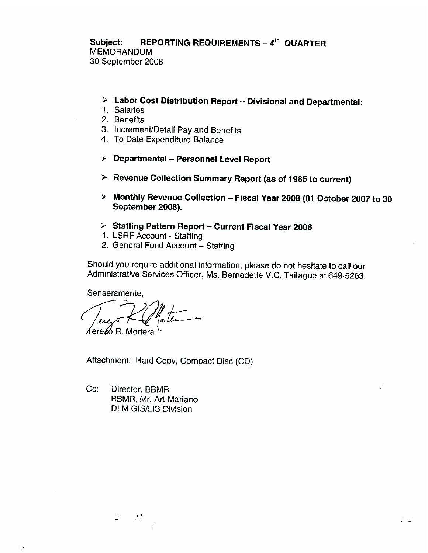**REPORTING REQUIREMENTS - 4th QUARTER** Subject: **MEMORANDUM** 30 September 2008

- > Labor Cost Distribution Report Divisional and Departmental:
- 1. Salaries
- 2. Benefits
- 3. Increment/Detail Pay and Benefits
- 4. To Date Expenditure Balance
- $\triangleright$  Departmental Personnel Level Report
- $\triangleright$  Revenue Collection Summary Report (as of 1985 to current)
- > Monthly Revenue Collection Fiscal Year 2008 (01 October 2007 to 30 September 2008).
- > Staffing Pattern Report Current Fiscal Year 2008
- 1. LSRF Account Staffing
- 2. General Fund Account Staffing

Should you require additional information, please do not hesitate to call our Administrative Services Officer, Ms. Bernadette V.C. Taitague at 649-5263.

Senseramente.

*T*íere**z⁄**o R. Mortera

Attachment: Hard Copy, Compact Disc (CD)

 $Cc:$ Director, BBMR BBMR, Mr. Art Mariano **DLM GIS/LIS Division** 

 $\sim 5^4$ 

 $\overline{\mathbb{L}}$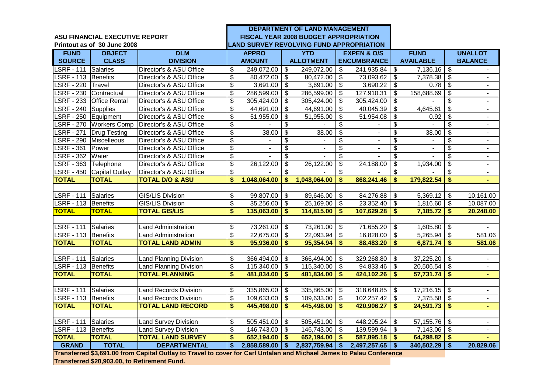|                        |                                |                                                                                                                      |                          |                |                          | DEPARTMENT OF LAND MANAGEMENT                   |                          |                          |                           |                  |                                        |                          |
|------------------------|--------------------------------|----------------------------------------------------------------------------------------------------------------------|--------------------------|----------------|--------------------------|-------------------------------------------------|--------------------------|--------------------------|---------------------------|------------------|----------------------------------------|--------------------------|
|                        | ASU FINANCIAL EXECUTIVE REPORT |                                                                                                                      |                          |                |                          | FISCAL YEAR 2008 BUDGET APPROPRIATION           |                          |                          |                           |                  |                                        |                          |
|                        | Printout as of 30 June 2008    |                                                                                                                      |                          |                |                          | <b>LAND SURVEY REVOLVING FUND APPROPRIATION</b> |                          |                          |                           |                  |                                        |                          |
| <b>FUND</b>            | <b>OBJECT</b>                  | <b>DLM</b>                                                                                                           |                          | <b>APPRO</b>   |                          | <b>YTD</b>                                      |                          | <b>EXPEN &amp; O/S</b>   |                           | <b>FUND</b>      |                                        | <b>UNALLOT</b>           |
| <b>SOURCE</b>          | <b>CLASS</b>                   | <b>DIVISION</b>                                                                                                      |                          | <b>AMOUNT</b>  |                          | <b>ALLOTMENT</b>                                |                          | <b>ENCUMBRANCE</b>       |                           | <b>AVAILABLE</b> |                                        | <b>BALANCE</b>           |
| LSRF - 111 Salaries    |                                | Director's & ASU Office                                                                                              | $\overline{\mathcal{S}}$ | 249,072.00     | $\overline{\mathbf{s}}$  | 249,072.00                                      | \$                       | 241,935.84               | \$                        | 7,136.16         | க                                      |                          |
| LSRF - 113 Benefits    |                                | Director's & ASU Office                                                                                              | \$                       | 80,472.00      | \$                       | 80,472.00                                       | \$                       | 73,093.62                | $\sqrt[6]{\frac{1}{2}}$   | 7,378.38         | \$                                     | $\blacksquare$           |
| LSRF - 220 Travel      |                                | Director's & ASU Office                                                                                              | \$                       | 3,691.00       | $\mathfrak{L}$           | $3,691.00$ \$                                   |                          | 3,690.22                 | \$                        | 0.78             | $\mathfrak{S}$                         | $\overline{\phantom{0}}$ |
| LSRF - 230 Contractual |                                | Director's & ASU Office                                                                                              | \$                       | 286,599.00     | \$                       | 286,599.00                                      | \$                       | 127,910.31               | \$                        | 158,688.69       | $\overline{\mathbf{s}}$                | $\overline{\phantom{0}}$ |
| <b>LSRF - 233</b>      | <b>Office Rental</b>           | Director's & ASU Office                                                                                              | \$                       | 305,424.00     | $\sqrt[6]{\frac{1}{2}}$  | 305,424.00                                      | \$                       | 305,424.00               | $\frac{1}{2}$             |                  | $\overline{\mathcal{S}}$               | $\blacksquare$           |
| $LSRF - 240$           | Supplies                       | Director's & ASU Office                                                                                              | \$                       | 44,691.00      | \$                       | 44,691.00                                       | \$                       | 40,045.39                | \$                        | 4,645.61         | $\overline{\mathfrak{s}}$              | $\blacksquare$           |
| LSRF - 250 Equipment   |                                | Director's & ASU Office                                                                                              | \$                       | 51,955.00      | \$                       | 51,955.00                                       | \$                       | 51,954.08                | $\frac{1}{2}$             | 0.92             | $\overline{\boldsymbol{\mathfrak{s}}}$ | $\blacksquare$           |
|                        | LSRF - 270 Workers Comp        | Director's & ASU Office                                                                                              | $\overline{\mathbf{e}}$  |                | \$                       |                                                 | \$                       |                          | \$                        |                  | $\overline{\mathbf{e}}$                | $\blacksquare$           |
| <b>LSRF - 271</b>      | <b>Drug Testing</b>            | Director's & ASU Office                                                                                              | $\overline{\$}$          | 38.00          | $\overline{\$}$          | 38.00                                           | $\overline{\$}$          |                          | $\overline{\$}$           | 38.00            | $\overline{\$}$                        | $\blacksquare$           |
| LSRF - 290 Miscelleous |                                | Director's & ASU Office                                                                                              | $\overline{\$}$          |                | $\overline{\mathcal{S}}$ | $\blacksquare$                                  | $\overline{\mathcal{E}}$ |                          | $\overline{\mathcal{S}}$  |                  | $\overline{\boldsymbol{\mathfrak{s}}}$ | $\blacksquare$           |
| <b>LSRF - 361</b>      | Power                          | Director's & ASU Office                                                                                              | $\overline{\$}$          | $\blacksquare$ | $\overline{\$}$          | $\blacksquare$                                  | $\overline{\$}$          | $\overline{\phantom{a}}$ | \$                        |                  | $\overline{\$}$                        | $\blacksquare$           |
| LSRF - 362 Water       |                                | Director's & ASU Office                                                                                              | $\overline{\mathcal{E}}$ |                | $\overline{\mathcal{S}}$ |                                                 | $\overline{\mathcal{E}}$ |                          | \$                        |                  | $\overline{\mathcal{S}}$               | $\blacksquare$           |
| LSRF - 363 Telephone   |                                | Director's & ASU Office                                                                                              | \$                       | 26,122.00      | \$                       | 26,122.00                                       | $\overline{\mathcal{G}}$ | 24,188.00                | $\boldsymbol{\mathsf{S}}$ | 1,934.00         | $\overline{\mathfrak{s}}$              | $\blacksquare$           |
|                        | LSRF - 450 Capital Outlay      | Director's & ASU Office                                                                                              | \$                       |                | $\overline{\mathcal{S}}$ |                                                 | $\overline{\mathbb{S}}$  |                          | \$                        |                  | $\overline{\mathcal{S}}$               | $\blacksquare$           |
| <b>TOTAL</b>           | <b>TOTAL</b>                   | <b>TOTAL D/O &amp; ASU</b>                                                                                           | \$                       | 1,048,064.00   | \$                       | 1,048,064.00                                    | \$                       | 868,241.46               | $\mathbf{\$}$             | 179,822.54       | \$                                     | ä,                       |
|                        |                                |                                                                                                                      |                          |                |                          |                                                 |                          |                          |                           |                  |                                        |                          |
| LSRF - 111 Salaries    |                                | <b>GIS/LIS Division</b>                                                                                              | \$                       | 99,807.00      | $\sqrt{3}$               | 89,646.00 \$                                    |                          | 84,276.88                | \$                        | 5,369.12         | $\sqrt[6]{3}$                          | 10,161.00                |
| LSRF - 113 Benefits    |                                | <b>GIS/LIS Division</b>                                                                                              | \$                       | 35,256.00      | $\mathfrak{F}$           | 25,169.00                                       | $\sqrt[6]{3}$            | 23,352.40                | $\boldsymbol{\mathsf{S}}$ | 1,816.60         | $\bullet$                              | 10,087.00                |
| <b>TOTAL</b>           | <b>TOTAL</b>                   | <b>TOTAL GIS/LIS</b>                                                                                                 | \$                       | 135,063.00     | \$                       | 114,815.00                                      | \$                       | 107,629.28               | $\boldsymbol{\hat{s}}$    | 7,185.72         | \$                                     | 20,248.00                |
|                        |                                |                                                                                                                      |                          |                |                          |                                                 |                          |                          |                           |                  |                                        |                          |
| <b>LSRF - 111</b>      | Salaries                       | <b>Land Administration</b>                                                                                           | \$                       | 73,261.00      | $\sqrt[6]{3}$            | 73,261.00                                       | \$                       | 71,655.20                | \$                        | 1,605.80         | $\mathfrak{F}$                         |                          |
| LSRF - 113 Benefits    |                                | Land Administration                                                                                                  | \$                       | 22,675.00      | $\sqrt[6]{\frac{1}{2}}$  | 22,093.94                                       | \$                       | 16,828.00                | $\mathfrak{S}$            | 5,265.94         | $\overline{\mathbf{3}}$                | 581.06                   |
| <b>TOTAL</b>           | <b>TOTAL</b>                   | <b>TOTAL LAND ADMIN</b>                                                                                              | \$                       | 95,936.00      | \$                       | 95,354.94                                       | \$                       | 88,483.20                | $\boldsymbol{\hat{s}}$    | 6,871.74         | \$                                     | 581.06                   |
|                        |                                |                                                                                                                      |                          |                |                          |                                                 |                          |                          |                           |                  |                                        |                          |
| <b>LSRF - 111</b>      | Salaries                       | <b>Land Planning Division</b>                                                                                        | \$                       | 366,494.00     | \$                       | 366,494.00                                      | \$                       | 329,268.80               | \$                        | 37,225.20        | -\$                                    |                          |
| LSRF - 113 Benefits    |                                | <b>Land Planning Division</b>                                                                                        | $\overline{\mathcal{E}}$ | 115,340.00     | $\sqrt{3}$               | $115,340.00$ \$                                 |                          | 94,833.46                | \$                        | 20,506.54        | $\bullet$                              | $\blacksquare$           |
| <b>TOTAL</b>           | <b>TOTAL</b>                   | <b>TOTAL PLANNING</b>                                                                                                | \$                       | 481,834.00     | \$                       | 481,834.00                                      | \$                       | 424,102.26               | \$                        | 57,731.74        | \$                                     | $\blacksquare$           |
|                        |                                |                                                                                                                      |                          |                |                          |                                                 |                          |                          |                           |                  |                                        |                          |
| <b>LSRF - 111</b>      | Salaries                       | <b>Land Records Division</b>                                                                                         | \$                       | 335,865.00     | \$                       | $335,865.00$ \$                                 |                          | 318,648.85               | \$                        | $17,216.15$ \$   |                                        | $\blacksquare$           |
| LSRF - 113 Benefits    |                                | <b>Land Records Division</b>                                                                                         | \$                       | 109,633.00     | \$                       | 109,633.00                                      | \$                       | 102,257.42               | $\sqrt[6]{\frac{1}{2}}$   | 7,375.58         | $\sqrt[6]{3}$                          | $\blacksquare$           |
| <b>TOTAL</b>           | <b>TOTAL</b>                   | <b>TOTAL LAND RECORD</b>                                                                                             | \$                       | 445,498.00     | \$                       | 445,498.00                                      | \$                       | 420,906.27               | $\boldsymbol{\hat{s}}$    | 24,591.73        | \$                                     | ٠                        |
|                        |                                |                                                                                                                      |                          |                |                          |                                                 |                          |                          |                           |                  |                                        |                          |
| <b>LSRF - 111</b>      | Salaries                       | <b>Land Survey Division</b>                                                                                          | \$                       | 505,451.00     | \$                       | 505,451.00                                      | \$                       | 448,295.24               | $\boldsymbol{\mathsf{S}}$ | 57,155.76        | $\mathfrak{L}$                         | $\blacksquare$           |
| LSRF - 113 Benefits    |                                | <b>Land Survey Division</b>                                                                                          | \$                       | 146,743.00     | \$                       | 146,743.00                                      | \$                       | 139,599.94               | \$                        | 7,143.06         | $\mathfrak{L}$                         | $\blacksquare$           |
| <b>TOTAL</b>           | <b>TOTAL</b>                   | <b>TOTAL LAND SURVEY</b>                                                                                             | \$                       | 652,194.00     | $\vert$ \$               | $652,194.00$ \$                                 |                          | 587,895.18               | $\boldsymbol{\mathsf{s}}$ | $64,298.82$ \$   |                                        |                          |
| <b>GRAND</b>           | <b>TOTAL</b>                   | <b>DEPARTMENTAL</b>                                                                                                  | \$                       | 2,858,589.00   | \$                       | 2,837,759.94                                    | \$                       | 2,497,257.65             | \$                        | 340,502.29       | $\mathbf{\$}$                          | 20,829.06                |
|                        |                                | Transferred \$3,691.00 from Capital Outlay to Travel to cover for Carl Untalan and Michael James to Palau Conference |                          |                |                          |                                                 |                          |                          |                           |                  |                                        |                          |

**Transferred \$20,903.00, to Retirement Fund.**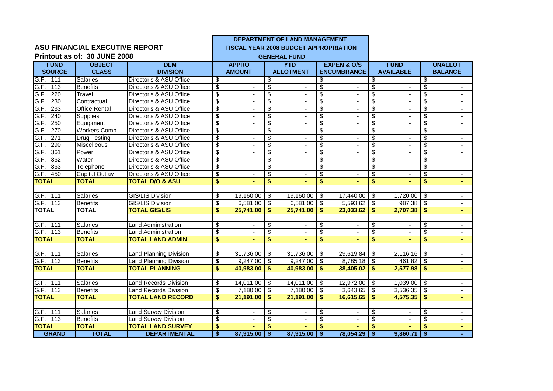|                          |                                       |                               |                                      |                          |                                  | DEPARTMENT OF LAND MANAGEMENT                |                          |                          |                           |                          |                          |                |
|--------------------------|---------------------------------------|-------------------------------|--------------------------------------|--------------------------|----------------------------------|----------------------------------------------|--------------------------|--------------------------|---------------------------|--------------------------|--------------------------|----------------|
|                          | <b>ASU FINANCIAL EXECUTIVE REPORT</b> |                               |                                      |                          |                                  | <b>FISCAL YEAR 2008 BUDGET APPROPRIATION</b> |                          |                          |                           |                          |                          |                |
|                          | Printout as of: 30 JUNE 2008          |                               |                                      |                          |                                  | <b>GENERAL FUND</b>                          |                          |                          |                           |                          |                          |                |
| <b>FUND</b>              | <b>OBJECT</b>                         | <b>DLM</b>                    |                                      | <b>APPRO</b>             |                                  | <b>YTD</b>                                   |                          | <b>EXPEN &amp; O/S</b>   |                           | <b>FUND</b>              |                          | <b>UNALLOT</b> |
| <b>SOURCE</b>            | <b>CLASS</b>                          | <b>DIVISION</b>               |                                      | <b>AMOUNT</b>            |                                  | <b>ALLOTMENT</b>                             |                          | <b>ENCUMBRANCE</b>       |                           | <b>AVAILABLE</b>         |                          | <b>BALANCE</b> |
| G.F. 111                 | <b>Salaries</b>                       | Director's & ASU Office       | \$                                   | $\sim$                   | \$                               |                                              | \$                       | $\blacksquare$           | \$                        | $\blacksquare$           | \$                       |                |
| G.F.<br>113              | <b>Benefits</b>                       | Director's & ASU Office       | \$                                   | $\blacksquare$           | \$                               | $\blacksquare$                               | \$                       | $\blacksquare$           | \$                        | $\blacksquare$           | \$                       | $\blacksquare$ |
| G.F.<br>220              | Travel                                | Director's & ASU Office       | \$                                   |                          | $\overline{\mathcal{S}}$         | $\overline{\phantom{a}}$                     | \$                       |                          | $\overline{\mathcal{S}}$  | $\overline{\phantom{a}}$ | \$                       |                |
| G.F. 230                 | Contractual                           | Director's & ASU Office       | $\overline{\$}$                      | $\blacksquare$           | $\overline{\$}$                  | $\blacksquare$                               | $\overline{\$}$          | $\blacksquare$           | $\overline{\$}$           | $\blacksquare$           | \$                       | $\blacksquare$ |
| 233<br>G.F.              | <b>Office Rental</b>                  | Director's & ASU Office       | \$                                   |                          | $\overline{\$}$                  |                                              | $\overline{\mathbb{S}}$  | $\sim$                   | $\overline{\$}$           |                          | \$                       |                |
| G.F.<br>240              | Supplies                              | Director's & ASU Office       | $\overline{\$}$                      |                          | $\overline{\$}$                  | $\mathbf{r}$                                 | $\overline{\mathbb{S}}$  |                          | $\overline{\$}$           | $\blacksquare$           | \$                       | $\mathbf{r}$   |
| G.F.<br>250              | Equipment                             | Director's & ASU Office       | \$                                   | $\blacksquare$           | $\overline{\$}$                  | $\blacksquare$                               | \$                       | $\blacksquare$           | $\overline{\mathbb{S}}$   | $\blacksquare$           | \$                       | $\sim$         |
| 270<br>G.F.              | <b>Workers Comp</b>                   | Director's & ASU Office       | \$                                   |                          | $\overline{\$}$                  | $\blacksquare$                               | $\overline{\$}$          | $\overline{\phantom{a}}$ | $\overline{\mathbf{S}}$   | $\frac{1}{2}$            | $\overline{\mathcal{S}}$ |                |
| $\overline{271}$<br>G.F. | <b>Drug Testing</b>                   | Director's & ASU Office       | $\overline{\mathbf{S}}$              |                          | $\overline{\boldsymbol{\theta}}$ | $\blacksquare$                               | $\overline{\mathbf{3}}$  |                          | $\overline{\mathbf{S}}$   | $\sim$                   | \$                       | $\sim$         |
| 290<br>G.F.              | Miscelleous                           | Director's & ASU Office       | $\overline{\$}$                      |                          | $\overline{\$}$                  |                                              | $\overline{\mathbb{S}}$  |                          | $\overline{\mathbb{S}}$   | $\overline{a}$           | $\overline{\mathcal{S}}$ | $\blacksquare$ |
| $\overline{361}$<br>G.F. | Power                                 | Director's & ASU Office       | $\overline{\mathbf{S}}$              |                          | $\overline{\mathbf{e}}$          | $\blacksquare$                               | \$                       | $\blacksquare$           | $\overline{\mathbf{S}}$   | ٠                        | \$                       |                |
| G.F.<br>362              | Water                                 | Director's & ASU Office       | $\overline{\$}$                      | $\sim$                   | $\overline{\$}$                  | $\omega$                                     | $\overline{\mathbb{S}}$  | $\blacksquare$           | $\overline{\mathcal{S}}$  | $\mathbf{r}$             | \$                       | $\mathbf{r}$   |
| G.F.<br>363              | Telephone                             | Director's & ASU Office       | $\overline{\mathbf{S}}$              | $\blacksquare$           | $\overline{\mathbf{S}}$          | $\overline{\phantom{a}}$                     | $\overline{\mathbf{S}}$  | $\overline{\phantom{a}}$ | $\overline{\mathbf{e}}$   | $\blacksquare$           | \$                       | $\blacksquare$ |
| G.F.<br>450              | Capital Outlay                        | Director's & ASU Office       | \$                                   |                          | $\overline{\mathcal{S}}$         |                                              | $\overline{\mathbb{S}}$  |                          | $\overline{\$}$           |                          | \$                       | $\blacksquare$ |
| <b>TOTAL</b>             | <b>TOTAL</b>                          | <b>TOTAL D/O &amp; ASU</b>    | $\overline{\boldsymbol{\mathsf{s}}}$ | $\blacksquare$           | $\overline{\mathbf{S}}$          |                                              | $\overline{\mathbf{s}}$  |                          | $\overline{\$}$           |                          | \$                       | $\blacksquare$ |
|                          |                                       |                               |                                      |                          |                                  |                                              |                          |                          |                           |                          |                          |                |
| G.F. 111                 | Salaries                              | <b>GIS/LIS Division</b>       | \$                                   | 19,160.00                | \$                               | 19,160.00                                    | $\sqrt{3}$               | 17,440.00                | \$                        | 1,720.00                 | $\Theta$                 | $\blacksquare$ |
| G.F. 113                 | <b>Benefits</b>                       | GIS/LIS Division              | \$                                   | 6,581.00                 | \$                               | 6,581.00                                     | \$                       | 5,593.62                 | $\boldsymbol{\mathsf{S}}$ | 987.38                   | $\overline{\mathbf{3}}$  | $\blacksquare$ |
| <b>TOTAL</b>             | <b>TOTAL</b>                          | <b>TOTAL GIS/LIS</b>          | \$                                   | 25,741.00                | \$                               | 25,741.00                                    | \$                       | 23,033.62                | \$                        | 2,707.38                 | \$                       | ٠              |
|                          |                                       |                               |                                      |                          |                                  |                                              |                          |                          |                           |                          |                          |                |
| G.F. 111                 | Salaries                              | <b>Land Administration</b>    | \$                                   |                          | $\overline{\mathcal{E}}$         |                                              | \$                       |                          | \$                        |                          | \$                       |                |
| G.F. 113                 | <b>Benefits</b>                       | <b>Land Administration</b>    | \$                                   |                          | $\overline{\mathbf{S}}$          | $\mathbf{r}$                                 | $\overline{\mathbf{s}}$  | $\blacksquare$           | $\overline{\mathbf{S}}$   | $\blacksquare$           | \$                       |                |
| <b>TOTAL</b>             | <b>TOTAL</b>                          | <b>TOTAL LAND ADMIN</b>       | \$                                   |                          | \$                               | ä,                                           | \$                       |                          | $\overline{\mathbf{s}}$   |                          | \$                       | $\blacksquare$ |
|                          |                                       |                               |                                      |                          |                                  |                                              |                          |                          |                           |                          |                          |                |
| G.F. 111                 | Salaries                              | <b>Land Planning Division</b> | \$                                   | 31,736.00                | \$                               | $31,736.00$ \$                               |                          | 29,619.84                | \$                        | $2,116.16$ \$            |                          |                |
| G.F. 113                 | Benefits                              | <b>Land Planning Division</b> | \$                                   | 9,247.00                 | \$                               | 9,247.00                                     | $\overline{\mathbf{3}}$  | 8,785.18                 | \$                        | $461.82$ \$              |                          |                |
| <b>TOTAL</b>             | <b>TOTAL</b>                          | <b>TOTAL PLANNING</b>         | \$                                   | 40,983.00                | \$.                              | 40,983.00                                    | Ŝ.                       | 38,405.02                | \$                        | 2,577.98                 | \$                       |                |
|                          |                                       |                               |                                      |                          |                                  |                                              |                          |                          |                           |                          |                          |                |
| G.F. 111                 | Salaries                              | <b>Land Records Division</b>  | \$                                   | 14,011.00                | \$                               | 14,011.00                                    | -\$                      | 12,972.00                | \$                        | $1,039.00$ \$            |                          | $\blacksquare$ |
| G.F. 113                 | <b>Benefits</b>                       | <b>Land Records Division</b>  | \$                                   | 7,180.00                 | \$                               | $7,180.00$ \$                                |                          | 3,643.65                 | $\overline{\mathcal{S}}$  | $3,536.35$ \$            |                          | $\blacksquare$ |
| <b>TOTAL</b>             | <b>TOTAL</b>                          | <b>TOTAL LAND RECORD</b>      | \$                                   | 21,191.00                | \$                               | 21,191.00                                    | \$                       | 16,615.65                | \$                        | 4,575.35                 | \$                       |                |
|                          |                                       |                               |                                      |                          |                                  |                                              |                          |                          |                           |                          |                          |                |
| G.F. 111                 | Salaries                              | <b>Land Survey Division</b>   | \$                                   | $\overline{a}$           | \$                               | $\blacksquare$                               | \$                       | $\blacksquare$           | \$                        | $\sim$                   | \$                       | $\blacksquare$ |
| G.F. 113                 | <b>Benefits</b>                       | <b>Land Survey Division</b>   | \$                                   | $\overline{\phantom{a}}$ | $\overline{\mathbf{3}}$          | $\blacksquare$                               | $\overline{\mathcal{E}}$ | $\blacksquare$           | $\overline{\$}$           | $\blacksquare$           | $\overline{\mathcal{S}}$ | $\blacksquare$ |
| <b>TOTAL</b>             | <b>TOTAL</b>                          | <b>TOTAL LAND SURVEY</b>      | \$                                   |                          | \$                               |                                              | \$                       |                          | \$                        |                          | S                        |                |
| <b>GRAND</b>             | <b>TOTAL</b>                          | <b>DEPARTMENTAL</b>           | $\overline{\bullet}$                 | 87,915.00                | \$                               | $87,915.00$ \$                               |                          | 78,054.29                | $\overline{\bullet}$      | $9,860.71$ \$            |                          |                |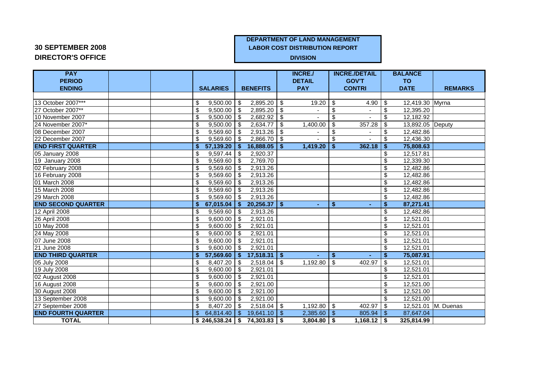## **DEPARTMENT OF LAND MANAGEMENT**

**20 SEPTEMBER 2008 LABOR COST DISTRIBUTION REPORT** 

# **DIRECTOR'S OFFICE DIVISION**

| <b>PAY</b>                |  |                       |                                      |              | <b>INCRE./</b>  | <b>INCRE./DETAIL</b> |                         | <b>BALANCE</b>   |                     |
|---------------------------|--|-----------------------|--------------------------------------|--------------|-----------------|----------------------|-------------------------|------------------|---------------------|
| <b>PERIOD</b>             |  |                       |                                      |              | <b>DETAIL</b>   | <b>GOV'T</b>         |                         | <b>TO</b>        |                     |
| <b>ENDING</b>             |  | <b>SALARIES</b>       | <b>BENEFITS</b>                      |              | <b>PAY</b>      | <b>CONTRI</b>        |                         | <b>DATE</b>      | <b>REMARKS</b>      |
|                           |  |                       |                                      |              |                 |                      |                         |                  |                     |
| 13 October 2007***        |  | $9,500.00$ \$<br>\$   | 2,895.20                             | -\$          | 19.20           | \$<br>4.90           | -\$                     | 12,419.30 Myrna  |                     |
| 27 October 2007**         |  | \$<br>$9,500.00$ \$   | 2,895.20                             | -\$          |                 | \$                   | \$                      | 12,395.20        |                     |
| 10 November 2007          |  | $9,500.00$ \$<br>\$   | 2,682.92                             | \$           |                 | \$                   | \$                      | 12,182.92        |                     |
| 24 November 2007*         |  | \$<br>9,500.00        | 2,634.77<br>l \$                     | \$           | 1,400.00        | \$<br>357.28         | \$                      | 13,892.05 Deputy |                     |
| 08 December 2007          |  | \$<br>9,569.60        | 2,913.26<br>l \$                     | \$           |                 | \$                   | \$                      | 12,482.86        |                     |
| 22 December 2007          |  | \$<br>$9,569.60$ \ \$ | 2,866.70                             | \$           |                 | \$                   | \$                      | 12,436.30        |                     |
| <b>END FIRST QUARTER</b>  |  | $57,139.20$ \$<br>Ŝ.  | 16,888.05                            | -\$          | 1,419.20        | 362.18<br>\$         | -\$                     | 75,808.63        |                     |
| 05 January 2008           |  | $9,597.44$ \\$<br>\$  | 2,920.37                             |              |                 |                      | \$                      | 12,517.81        |                     |
| 19 January 2008           |  | $9,569.60$ \$<br>\$   | 2,769.70                             |              |                 |                      | \$                      | 12,339.30        |                     |
| 02 February 2008          |  | \$<br>$9,569.60$ \$   | 2,913.26                             |              |                 |                      | \$                      | 12,482.86        |                     |
| 16 February 2008          |  | \$<br>$9,569.60$ \$   | 2,913.26                             |              |                 |                      | \$                      | 12,482.86        |                     |
| 01 March 2008             |  | \$<br>$9,569.60$ \$   | 2,913.26                             |              |                 |                      | \$                      | 12,482.86        |                     |
| 15 March 2008             |  | \$<br>$9,569.60$ \ \$ | 2,913.26                             |              |                 |                      | \$                      | 12,482.86        |                     |
| 29 March 2008             |  | $9,569.60$ \$<br>\$   | 2,913.26                             |              |                 |                      | \$                      | 12,482.86        |                     |
| <b>END SECOND QUARTER</b> |  | $67,015.04$ \$<br>Ŝ.  | 20,256.37                            | $\mathbf{s}$ | ÷.              | \$                   | \$                      | 87,271.41        |                     |
| 12 April 2008             |  | $9,569.60$ \$<br>\$   | 2,913.26                             |              |                 |                      | \$                      | 12,482.86        |                     |
| 26 April 2008             |  | \$<br>$9,600.00$ \ \$ | 2,921.01                             |              |                 |                      | \$                      | 12,521.01        |                     |
| 10 May 2008               |  | $9,600.00$ \$<br>\$   | 2,921.01                             |              |                 |                      | $\overline{\mathbf{3}}$ | 12,521.01        |                     |
| 24 May 2008               |  | \$<br>$9,600.00$ \$   | 2,921.01                             |              |                 |                      | \$                      | 12,521.01        |                     |
| 07 June 2008              |  | \$<br>$9,600.00$ \ \$ | 2.921.01                             |              |                 |                      | \$                      | 12,521.01        |                     |
| 21 June 2008              |  | $9,600.00$ \$<br>\$   | 2,921.01                             |              |                 |                      | \$                      | 12,521.01        |                     |
| <b>END THIRD QUARTER</b>  |  | $57,569.60$ \$<br>Ŝ.  | $17,518.31$ \$                       |              | ÷.              | \$                   | \$                      | 75,087.91        |                     |
| 05 July 2008              |  | $8,407.20$ \$<br>\$   | 2,518.04                             | \$           | 1,192.80        | \$<br>402.97         | \$                      | 12,521.01        |                     |
| 19 July 2008              |  | \$<br>$9,600.00$ \$   | 2,921.01                             |              |                 |                      | \$                      | 12,521.01        |                     |
| 02 August 2008            |  | $9,600.00$ \$<br>\$   | 2,921.01                             |              |                 |                      | \$                      | 12,521.01        |                     |
| 16 August 2008            |  | \$<br>9,600.00        | 2,921.00<br>l \$                     |              |                 |                      | \$                      | 12,521.00        |                     |
| 30 August 2008            |  | $9,600.00$ \$<br>\$   | 2.921.00                             |              |                 |                      | \$                      | 12,521.00        |                     |
| 13 September 2008         |  | \$<br>$9,600.00$ \ \$ | 2.921.00                             |              |                 |                      | \$                      | 12,521.00        |                     |
| 27 September 2008         |  | \$<br>$8,407.20$ \$   | $2,518.04$ \$                        |              | $1,192.80$ \$   | 402.97               | \$                      |                  | 12,521.01 M. Duenas |
| <b>END FOURTH QUARTER</b> |  | $\mathfrak{L}$        | $19,641.10$ \ \$                     |              | $2,385.60$ \$   | 805.94               | - \$                    | 87,647.04        |                     |
| <b>TOTAL</b>              |  |                       | $$246,538.24 \mid $74,303.83 \mid $$ |              | $3,804.80$   \$ | 1,168.12             | - \$                    | 325.814.99       |                     |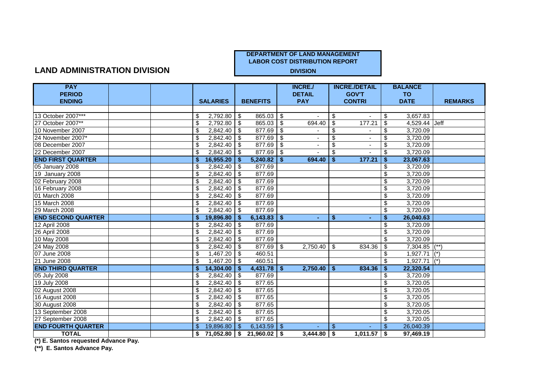#### **LAND ADMINISTRATION DIVISION DIVISION**

| <b>PAY</b>                |  |                     |               |                 |                         | <b>INCRE./</b>  |     | <b>INCRE./DETAIL</b> |                          | <b>BALANCE</b> |                |
|---------------------------|--|---------------------|---------------|-----------------|-------------------------|-----------------|-----|----------------------|--------------------------|----------------|----------------|
| <b>PERIOD</b>             |  |                     |               |                 |                         | <b>DETAIL</b>   |     | <b>GOV'T</b>         |                          | <b>TO</b>      |                |
| <b>ENDING</b>             |  | <b>SALARIES</b>     |               | <b>BENEFITS</b> |                         | <b>PAY</b>      |     | <b>CONTRI</b>        |                          | <b>DATE</b>    | <b>REMARKS</b> |
|                           |  |                     |               |                 |                         |                 |     |                      |                          |                |                |
| 13 October 2007***        |  | 2,792.80<br>\$      | \$            | 865.03          | \$                      |                 | S   |                      | \$                       | 3,657.83       |                |
| 27 October 2007**         |  | 2,792.80<br>\$      | $\sqrt{3}$    | 865.03          | \$                      | 694.40          | -\$ | 177.21               | \$                       | 4,529.44 Jeff  |                |
| 10 November 2007          |  | 2,842.40<br>\$      | \$            | 877.69          | \$                      |                 | \$  |                      | \$                       | 3,720.09       |                |
| 24 November 2007*         |  | 2,842.40<br>\$      | $\sqrt{3}$    | 877.69          | $\mathfrak{P}$          |                 | \$  |                      | \$                       | 3,720.09       |                |
| 08 December 2007          |  | 2,842.40<br>\$      | \$            | 877.69          | $\overline{\mathbf{3}}$ |                 | \$  |                      | $\overline{\mathbf{S}}$  | 3,720.09       |                |
| 22 December 2007          |  | 2,842.40            | -\$           | 877.69          | \$                      |                 | \$  |                      | \$                       | 3,720.09       |                |
| <b>END FIRST QUARTER</b>  |  | 16,955.20           | \$            | 5,240.82        | \$                      | 694.40          | -\$ | 177.21               | \$                       | 23,067.63      |                |
| 05 January 2008           |  | $2,842.40$ \$<br>\$ |               | 877.69          |                         |                 |     |                      | \$                       | 3,720.09       |                |
| 19 January 2008           |  | 2,842.40<br>\$      | -\$           | 877.69          |                         |                 |     |                      | $\overline{\mathcal{S}}$ | 3,720.09       |                |
| 02 February 2008          |  | 2,842.40<br>\$      | -\$           | 877.69          |                         |                 |     |                      | \$                       | 3,720.09       |                |
| 16 February 2008          |  | 2,842.40<br>\$      | \$            | 877.69          |                         |                 |     |                      | $\overline{\$}$          | 3,720.09       |                |
| 01 March 2008             |  | 2,842.40<br>\$      | န             | 877.69          |                         |                 |     |                      | $\overline{\mathbf{S}}$  | 3,720.09       |                |
| 15 March 2008             |  | 2,842.40<br>\$      | $\sqrt[6]{3}$ | 877.69          |                         |                 |     |                      | \$                       | 3,720.09       |                |
| 29 March 2008             |  | 2.842.40<br>\$      | -\$           | 877.69          |                         |                 |     |                      | \$                       | 3,720.09       |                |
| <b>END SECOND QUARTER</b> |  | 19,896.80           |               | 6,143.83        | s.                      | $\blacksquare$  | \$  |                      | \$                       | 26,040.63      |                |
| 12 April 2008             |  | $2,842.40$ \$<br>\$ |               | 877.69          |                         |                 |     |                      | \$                       | 3,720.09       |                |
| 26 April 2008             |  | 2,842.40<br>\$      | $\sqrt{3}$    | 877.69          |                         |                 |     |                      | \$                       | 3,720.09       |                |
| 10 May 2008               |  | 2,842.40<br>\$      | \$            | 877.69          |                         |                 |     |                      | \$                       | 3,720.09       |                |
| 24 May 2008               |  | 2,842.40<br>\$      | -\$           | 877.69          | \$                      | 2,750.40        | \$  | 834.36               | \$                       | 7,304.85 (**   |                |
| 07 June 2008              |  | 1,467.20<br>\$      | $\bullet$     | 460.51          |                         |                 |     |                      | \$                       | $1,927.71$ (*) |                |
| 21 June 2008              |  | 1,467.20<br>\$      | \$            | 460.51          |                         |                 |     |                      | \$                       | $1,927.71$ (*) |                |
| <b>END THIRD QUARTER</b>  |  | 14,304.00           |               | 4,431.78        | S.                      | $2,750.40$   \$ |     | 834.36               | \$                       | 22,320.54      |                |
| 05 July 2008              |  | 2,842.40<br>\$      | -S            | 877.69          |                         |                 |     |                      | \$                       | 3,720.09       |                |
| 19 July 2008              |  | $2,842.40$ \$<br>\$ |               | 877.65          |                         |                 |     |                      | \$                       | 3,720.05       |                |
| 02 August 2008            |  | 2,842.40<br>\$      | \$            | 877.65          |                         |                 |     |                      | $\overline{\mathcal{S}}$ | 3,720.05       |                |
| 16 August 2008            |  | 2,842.40<br>\$      | \$            | 877.65          |                         |                 |     |                      | $\overline{\mathcal{E}}$ | 3,720.05       |                |
| 30 August 2008            |  | 2,842.40<br>\$      | \$            | 877.65          |                         |                 |     |                      | $\overline{\mathcal{S}}$ | 3,720.05       |                |
| 13 September 2008         |  | \$<br>2,842.40      | $\sqrt[6]{3}$ | 877.65          |                         |                 |     |                      | $\overline{\mathcal{E}}$ | 3,720.05       |                |
| 27 September 2008         |  | 2,842.40<br>\$      | \$            | 877.65          |                         |                 |     |                      | \$                       | 3,720.05       |                |
| <b>END FOURTH QUARTER</b> |  | 19,896.80<br>\$     | -S            | 6,143.59        | S.                      |                 | \$  |                      | \$                       | 26,040.39      |                |
| <b>TOTAL</b>              |  | \$<br>71,052.80     | l \$          | 21,960.02       | \$                      | $3,444.80$ \ \$ |     | 1,011.57             | <b>S</b>                 | 97,469.19      |                |

**(\*) E. Santos requested Advance Pay.**

**(\*\*) E. Santos Advance Pay.**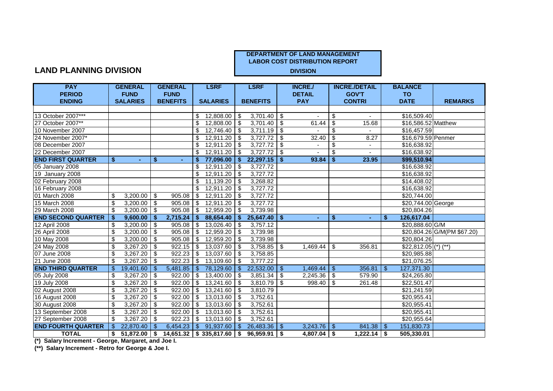#### **LAND PLANNING DIVISION**

| <b>PAY</b>                |               | <b>GENERAL</b>  |               | <b>GENERAL</b>  |     | <b>LSRF</b>              |               | <b>LSRF</b>              |           | <b>INCRE./</b> |    | <b>INCRE./DETAIL</b>  |     | <b>BALANCE</b>        |                             |
|---------------------------|---------------|-----------------|---------------|-----------------|-----|--------------------------|---------------|--------------------------|-----------|----------------|----|-----------------------|-----|-----------------------|-----------------------------|
| <b>PERIOD</b>             |               | <b>FUND</b>     |               | <b>FUND</b>     |     |                          |               |                          |           | <b>DETAIL</b>  |    | <b>GOV'T</b>          |     | <b>TO</b>             |                             |
| <b>ENDING</b>             |               | <b>SALARIES</b> |               | <b>BENEFITS</b> |     | <b>SALARIES</b>          |               | <b>BENEFITS</b>          |           | <b>PAY</b>     |    | <b>CONTRI</b>         |     | <b>DATE</b>           | <b>REMARKS</b>              |
|                           |               |                 |               |                 |     |                          |               |                          |           |                |    |                       |     |                       |                             |
| 13 October 2007***        |               |                 |               |                 | \$. | 12,808.00                | \$            | $\overline{3,701.40}$ \$ |           |                | \$ |                       |     | \$16,509.40           |                             |
| 27 October 2007**         |               |                 |               |                 | \$  | 12,808.00                | \$            | $3,701.40$ \$            |           | 61.44          | \$ | 15.68                 |     | \$16,586.52 Matthew   |                             |
| 10 November 2007          |               |                 |               |                 | \$  | 12,746.40                | \$            | $3,711.19$ \$            |           |                | \$ |                       |     | \$16,457.59           |                             |
| 24 November 2007*         |               |                 |               |                 | \$  | 12,911.20                | \$            | $3,727.72$ \$            |           | 32.40          | \$ | 8.27                  |     | \$16,679.59 Penmer    |                             |
| 08 December 2007          |               |                 |               |                 | \$  | 12,911.20                | -\$           | 3,727.72                 | $\bullet$ |                | \$ |                       |     | \$16,638.92           |                             |
| 22 December 2007          |               |                 |               |                 | \$  | 12,911.20                | \$            | $3,727.72$ \$            |           |                | \$ |                       |     | \$16,638.92           |                             |
| <b>END FIRST QUARTER</b>  | \$.           | ۰.              | \$            | ÷               | S.  | 77,096.00                | Ŝ.            | 22,297.15                | -\$       | 93.84          | S. | 23.95                 |     | \$99,510.94           |                             |
| 05 January 2008           |               |                 |               |                 | \$  | 12,911.20                | $\sqrt{3}$    | 3,727.72                 |           |                |    |                       |     | \$16,638.92           |                             |
| 19 January 2008           |               |                 |               |                 | \$  | $12,911.20$ \$           |               | 3,727.72                 |           |                |    |                       |     | \$16,638.92           |                             |
| 02 February 2008          |               |                 |               |                 | \$  | 11,139.20                | $\sqrt{3}$    | 3,268.82                 |           |                |    |                       |     | \$14,408.02           |                             |
| 16 February 2008          |               |                 |               |                 | \$  | 12,911.20                | $\sqrt{3}$    | 3,727.72                 |           |                |    |                       |     | \$16,638.92           |                             |
| 01 March 2008             | \$            | 3,200.00        | $\sqrt[6]{3}$ | 905.08          | \$  | 12,911.20                | -\$           | 3,727.72                 |           |                |    |                       |     | \$20,744.00           |                             |
| 15 March 2008             | -\$           | 3,200.00        | -\$           | 905.08          | \$  | 12,911.20                | \$            | 3,727.72                 |           |                |    |                       |     | \$20,744.00 George    |                             |
| 29 March 2008             | -\$           | 3,200.00        | -\$           | 905.08          | \$  | 12,959.20                | \$            | 3,739.98                 |           |                |    |                       |     | \$20,804.26           |                             |
| <b>END SECOND QUARTER</b> | -\$           | 9,600.00        | -\$           | 2,715.24        | Ŝ.  | 88,654.40                | Ŝ.            | $25,647.40$ \ \$         |           | ٠              | \$ | $\blacksquare$        | S.  | 126,617.04            |                             |
| 12 April 2008             | \$            | 3,200.00        | -\$           | 905.08          | S.  | 13,026.40                | \$            | 3,757.12                 |           |                |    |                       |     | \$20,888.60 G/M       |                             |
| 26 April 2008             | \$            | 3,200.00        | \$            | 905.08          | \$  | 12,959.20                | \$            | 3,739.98                 |           |                |    |                       |     |                       | \$20,804.26 G/M(PM \$67.20) |
| 10 May 2008               | \$            | 3,200.00        | \$            | 905.08          | \$  | 12,959.20                | \$            | 3,739.98                 |           |                |    |                       |     | \$20,804.26           |                             |
| 24 May 2008               | \$            | 3,267.20        | \$            | 922.15          | -\$ | 13,037.60                | \$            | 3,758.85                 | \$        | 1,469.44       | \$ | 356.81                |     | $$22,812.05$ (*) (**) |                             |
| 07 June 2008              | \$            | 3,267.20        | -\$           | 922.23          | S   | 13,037.60                | \$            | 3,758.85                 |           |                |    |                       |     | \$20,985.88           |                             |
| 21 June 2008              | \$            | 3,267.20        | -\$           | 922.23          | -S  | 13,109.60                | \$            | 3,777.22                 |           |                |    |                       |     | \$21,076.25           |                             |
| <b>END THIRD QUARTER</b>  | \$            | 19,401.60       | -\$           | 5,481.85        | \$  | 78,129.60                | \$            | 22,532.00                | \$        | 1,469.44       | \$ | 356.81                | \$  | 127,371.30            |                             |
| 05 July 2008              | \$            | 3,267.20        | l \$          | 922.00          | \$  | 13,400.00                | <b>S</b>      | $3,851.34$ \$            |           | 2,245.36       | \$ | 579.90                |     | \$24,265.80           |                             |
| 19 July 2008              | \$            | 3,267.20        | \$            | 922.00          | \$  | 13,241.60                | l \$          | $3,810.\overline{79}$ \$ |           | 998.40         | \$ | 261.48                |     | \$22,501.47           |                             |
| 02 August 2008            | \$            | 3,267.20        | \$            | 922.00          | \$  | 13,241.60                | $\sqrt{3}$    | 3,810.79                 |           |                |    |                       |     | \$21,241.59           |                             |
| 16 August 2008            | \$            | 3,267.20        | \$            | 922.00          | \$  | 13,013.60                | $\sqrt{3}$    | 3,752.61                 |           |                |    |                       |     | \$20,955.41           |                             |
| 30 August 2008            | \$            | 3,267.20        | \$            | 922.00          | \$  | 13,013.60                | -\$           | 3,752.61                 |           |                |    |                       |     | \$20,955.41           |                             |
| 13 September 2008         | \$            | 3,267.20        | \$            | 922.00          | \$  | 13,013.60                | \$            | 3,752.61                 |           |                |    |                       |     | \$20,955.41           |                             |
| 27 September 2008         | -\$           | 3,267.20        | -\$           | 922.23          | \$  | 13,013.60                | \$            | 3,752.61                 |           |                |    |                       |     | \$20,955.64           |                             |
| <b>END FOURTH QUARTER</b> | <sup>\$</sup> | 22,870.40       | \$            | 6,454.23        | \$. | 91,937.60                | <sup>\$</sup> | 26,483.36                | \$        | 3,243.76       | \$ | 841.38                | -\$ | 151,830.73            |                             |
| <b>TOTAL</b>              | \$            | $51,872.00$ \$  |               |                 |     | 14,651.32   \$335,817.60 | \$            | $96,959.91$ \$           |           | $4,807.04$ \$  |    | $\sqrt{1,222.14}$ \\$ |     | 505,330.01            |                             |

**(\*) Salary Increment - George, Margaret, and Joe I.**

**(\*\*) Salary Increment - Retro for George & Joe I.**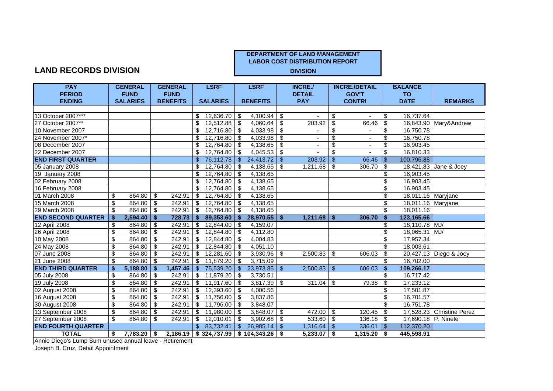#### **LAND RECORDS DIVISION**

| <b>PAY</b>                |      | <b>GENERAL</b>  |              | <b>GENERAL</b>  |                | <b>LSRF</b>      |              | <b>LSRF</b>                                     |                | <b>INCRE./</b>  |                          | <b>INCRE./DETAIL</b> |                         | <b>BALANCE</b>      |                           |
|---------------------------|------|-----------------|--------------|-----------------|----------------|------------------|--------------|-------------------------------------------------|----------------|-----------------|--------------------------|----------------------|-------------------------|---------------------|---------------------------|
| <b>PERIOD</b>             |      | <b>FUND</b>     |              | <b>FUND</b>     |                |                  |              |                                                 |                | <b>DETAIL</b>   |                          | <b>GOV'T</b>         |                         | <b>TO</b>           |                           |
| <b>ENDING</b>             |      | <b>SALARIES</b> |              | <b>BENEFITS</b> |                | <b>SALARIES</b>  |              | <b>BENEFITS</b>                                 |                | <b>PAY</b>      |                          | <b>CONTRI</b>        |                         | <b>DATE</b>         | <b>REMARKS</b>            |
|                           |      |                 |              |                 |                |                  |              |                                                 |                |                 |                          |                      |                         |                     |                           |
| 13 October 2007***        |      |                 |              |                 | S.             | $12,636.70$ \ \$ |              | $4,100.94$ \$                                   |                |                 | \$                       |                      | \$                      | 16,737.64           |                           |
| 27 October 2007**         |      |                 |              |                 | \$             | $12,512.88$ \$   |              | 4,060.64                                        | \$             | 203.92          | \$                       | 66.46                | \$                      |                     | 16,843.90 Mary&Andrew     |
| 10 November 2007          |      |                 |              |                 | \$             | $12,716.80$ \ \$ |              | 4,033.98                                        | \$             |                 | \$                       |                      | \$                      | 16,750.78           |                           |
| 24 November 2007*         |      |                 |              |                 | \$             | 12,716.80        | l \$         | 4,033.98                                        | $\sqrt[6]{3}$  |                 | \$                       |                      | $\overline{\mathbf{s}}$ | 16,750.78           |                           |
| 08 December 2007          |      |                 |              |                 | \$             | 12,764.80        | l \$         | 4,138.65                                        | \$             |                 | $\overline{\mathcal{G}}$ |                      | \$                      | 16,903.45           |                           |
| 22 December 2007          |      |                 |              |                 | \$             | 12,764.80        | l \$         | 4,045.53                                        | \$             |                 | \$                       |                      | $\mathfrak{L}$          | 16,810.33           |                           |
| <b>END FIRST QUARTER</b>  |      |                 |              |                 | \$.            | 76,112.78        | <b>S</b>     | 24,413.72                                       | $\mathbf{\$}$  | 203.92          | \$                       | 66.46                | -\$                     | 100,796.88          |                           |
| 05 January 2008           |      |                 |              |                 | \$             | 12,764.80        | l \$         | 4,138.65                                        | \$             | 1,211.68        | \$                       | 306.70               | -\$                     | 18,421.83           | Jane & Joey               |
| 19 January 2008           |      |                 |              |                 | \$             | $12,764.80$ \$   |              | 4,138.65                                        |                |                 |                          |                      | \$                      | 16,903.45           |                           |
| 02 February 2008          |      |                 |              |                 | \$             | 12,764.80 \$     |              | 4,138.65                                        |                |                 |                          |                      | \$                      | 16,903.45           |                           |
| 16 February 2008          |      |                 |              |                 | \$             | $12,764.80$ \$   |              | 4,138.65                                        |                |                 |                          |                      | $\overline{\$}$         | 16,903.45           |                           |
| 01 March 2008             | \$   | 864.80          | \$           | 242.91          | \$             | 12,764.80        | l \$         | 4,138.65                                        |                |                 |                          |                      | \$                      | 18,011.16 Maryjane  |                           |
| 15 March 2008             | \$   | 864.80          | \$           | 242.91          | \$             | 12,764.80        | l \$         | 4,138.65                                        |                |                 |                          |                      | \$                      | 18,011.16 Maryjane  |                           |
| 29 March 2008             | \$   | 864.80          | -\$          | 242.91          | \$             | 12,764.80        | - \$         | 4,138.65                                        |                |                 |                          |                      | \$                      | 18,011.16           |                           |
| <b>END SECOND QUARTER</b> | \$   | 2,594.40        | $\mathbf{s}$ | 728.73          | $\mathbf{s}$   | 89,353.60        | $\vert$ \$   | $28,970.55$ \$                                  |                | 1,211.68        | Ŝ.                       | 306.70               | \$                      | 123,165.66          |                           |
| 12 April 2008             | \$   | 864.80          | \$           | 242.91          | \$             | 12,844.00        | l \$         | 4,159.07                                        |                |                 |                          |                      | \$                      | 18,110.78 MJ/       |                           |
| 26 April 2008             | \$   | 864.80          | l \$         | 242.91          | \$             | 12,844.80        | l \$         | 4,112.80                                        |                |                 |                          |                      | \$                      | 18,065.31 MJ/       |                           |
| 10 May 2008               | \$   | 864.80          | \$           | 242.91          | \$             | 12,844.80        | l \$         | 4,004.83                                        |                |                 |                          |                      | \$                      | 17,957.34           |                           |
| 24 May 2008               | \$   | 864.80          | \$           | 242.91          | \$             | 12,844.80        | \$           | 4,051.10                                        |                |                 |                          |                      | \$                      | 18,003.61           |                           |
| 07 June 2008              | \$   | 864.80          | \$           | 242.91          | \$             | 12,281.60        | \$           | 3,930.96                                        | \$             | $2,500.83$ \$   |                          | 606.03               | \$                      |                     | 20,427.13 Diego & Joey    |
| 21 June 2008              | \$   | 864.80          | -\$          | 242.91          | \$             | 11,879.20        | - \$         | 3,715.09                                        |                |                 |                          |                      | \$                      | 16,702.00           |                           |
| <b>END THIRD QUARTER</b>  | \$   | 5,188.80        | \$           | 1,457.46        | \$             | 75,539.20        | <b>S</b>     | 23,973.85                                       | $\mathfrak{L}$ | 2,500.83        | $\mathbf{\$}$            | 606.03               | $\boldsymbol{\hat{s}}$  | 109,266.17          |                           |
| 05 July 2008              | \$   | 864.80          | l \$         | 242.91          | \$             | $11,879.20$ \$   |              | 3,730.51                                        |                |                 |                          |                      | \$                      | 16,717.42           |                           |
| 19 July 2008              | \$   | 864.80 \$       |              | 242.91          | $\mathfrak{F}$ | $11,917.60$ \$   |              | 3,817.39                                        | \$             | 311.04          | \$                       | 79.38                | \$                      | 17,233.12           |                           |
| 02 August 2008            | \$   | 864.80 \$       |              | 242.91          | \$             | $12,393.60$ \$   |              | 4,000.56                                        |                |                 |                          |                      | \$                      | 17,501.87           |                           |
| 16 August 2008            | \$   | 864.80          | \$           | 242.91          | \$             | 11,756.00 \$     |              | 3,837.86                                        |                |                 |                          |                      | \$                      | 16,701.57           |                           |
| 30 August 2008            | \$   | 864.80          | -\$          | 242.91          | \$             | 11,796.00        | l \$         | 3,848.07                                        |                |                 |                          |                      | \$                      | 16,751.78           |                           |
| 13 September 2008         | \$   | 864.80          | l \$         | 242.91          | \$             | 11,980.00        | l \$         | 3,848.07                                        | \$             | 472.00          | \$                       | 120.45               | \$                      |                     | 17,528.23 Christine Perez |
| 27 September 2008         | \$   | 864.80          | \$           | 242.91          | \$             | 12,010.01        | - \$         | 3,902.68                                        | \$             | $533.60$ \ \$   |                          | 136.18               | -\$                     | 17,690.18 P. Ninete |                           |
| <b>END FOURTH QUARTER</b> |      |                 |              |                 | \$.            | 83,732.41        | $\mathbb{S}$ | 26,985.14                                       | \$             | $1,316.64$   \$ |                          | 336.01               | -\$                     | 112,370.20          |                           |
| <b>TOTAL</b>              | - \$ | 7,783.20 \$     |              |                 |                |                  |              | $2,186.19$   \$ 324,737.99   \$ 104,343.26   \$ |                | $5,233.07$ \$   |                          | 1,315.20             | - \$                    | 445,598.91          |                           |

Annie Diego's Lump Sum unused annual leave - Retirement

Joseph B. Cruz, Detail Appointment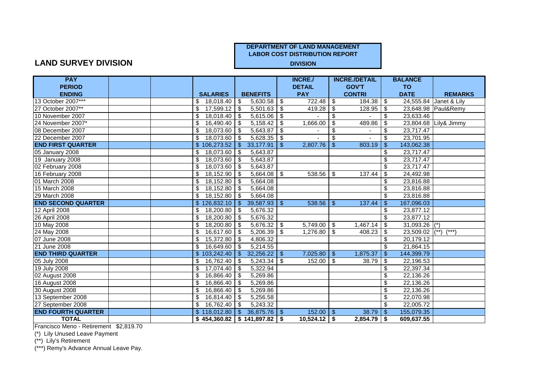#### **DEPARTMENT OF LAND MANAGEMENT**

**LABOR COST DISTRIBUTION REPORT**

#### **LAND SURVEY DIVISION**

| <b>PAY</b>                |  |                       |                                       |                | <b>INCRE./</b> |                                  | <b>INCRE./DETAIL</b> |                           | <b>BALANCE</b>           |                        |
|---------------------------|--|-----------------------|---------------------------------------|----------------|----------------|----------------------------------|----------------------|---------------------------|--------------------------|------------------------|
| <b>PERIOD</b>             |  |                       |                                       |                | <b>DETAIL</b>  |                                  | <b>GOV'T</b>         |                           | <b>TO</b>                |                        |
| <b>ENDING</b>             |  | <b>SALARIES</b>       | <b>BENEFITS</b>                       |                | <b>PAY</b>     |                                  | <b>CONTRI</b>        |                           | <b>DATE</b>              | <b>REMARKS</b>         |
| 13 October 2007***        |  | \$<br>18,018.40       | $\sqrt[6]{3}$<br>$5,630.58$ \$        |                | 722.48         | $\sqrt[6]{3}$                    | 184.38               | \$                        |                          | 24,555.84 Janet & Lily |
| 27 October 2007**         |  | 17,599.12 \$<br>\$    | $5,501.63$ \$                         |                | 419.28         | \$                               | 128.95               | -\$                       |                          | 23,648.98 Paul&Remy    |
| 10 November 2007          |  | $18,018.40$ \$<br>\$  | 5,615.06                              | \$             |                | \$                               |                      | \$                        | 23,633.46                |                        |
| 24 November 2007*         |  | \$<br>16,490.40       | 5,158.42<br>l \$                      | \$.            | 1,666.00       | \$                               | 489.86               | \$                        |                          | 23,804.68 Lily& Jimmy  |
| 08 December 2007          |  | $18,073.60$ \$<br>\$  | 5,643.87                              | \$             |                | $\overline{\boldsymbol{\theta}}$ |                      | \$                        | 23,717.47                |                        |
| 22 December 2007          |  | 18,073.60 \$<br>\$    | 5,628.35                              | $\sqrt{3}$     |                | \$                               |                      | \$                        | 23,701.95                |                        |
| <b>END FIRST QUARTER</b>  |  | \$106,273.52          | 33,177.91<br>$\Theta$                 | $\mathfrak{S}$ | 2,807.76       | $\frac{1}{2}$                    | 803.19               | $\sqrt[6]{3}$             | 143,062.38               |                        |
| 05 January 2008           |  | 18,073.60<br>\$       | 5,643.87<br>l \$                      |                |                |                                  |                      | \$                        | 23,717.47                |                        |
| 19 January 2008           |  | $18,073.60$ \\$<br>\$ | 5,643.87                              |                |                |                                  |                      | \$                        | 23,717.47                |                        |
| 02 February 2008          |  | 18,073.60 \$<br>\$    | 5,643.87                              |                |                |                                  |                      | \$                        | 23,717.47                |                        |
| 16 February 2008          |  | \$<br>$18,152.90$ \$  | 5,664.08                              | $\bullet$      | $538.56$ \$    |                                  | 137.44               | \$                        | 24,492.98                |                        |
| 01 March 2008             |  | $18,152.80$ \$<br>\$  | 5,664.08                              |                |                |                                  |                      | \$                        | 23,816.88                |                        |
| 15 March 2008             |  | $18,152.80$ \$<br>\$  | 5,664.08                              |                |                |                                  |                      | \$                        | 23,816.88                |                        |
| 29 March 2008             |  | \$<br>18,152.80       | 5,664.08<br>l \$                      |                |                |                                  |                      | \$                        | 23,816.88                |                        |
| <b>END SECOND QUARTER</b> |  | \$126,832.10          | 39,587.93<br>l \$                     | $\sqrt{3}$     | 538.56         | -\$                              | 137.44               | -\$                       | 167,096.03               |                        |
| 12 April 2008             |  | $18,200.80$ \$<br>\$  | 5,676.32                              |                |                |                                  |                      | \$                        | 23,877.12                |                        |
| 26 April 2008             |  | 18,200.80 \$<br>\$    | 5,676.32                              |                |                |                                  |                      | \$                        | 23,877.12                |                        |
| 10 May 2008               |  | $18,200.80$ \$<br>\$  | $5,676.32$ \$                         |                | $5,749.00$ \$  |                                  | 1,467.14             | $\overline{\mathfrak{s}}$ | $31,093.26$ (*)          |                        |
| 24 May 2008               |  | $16,617.60$ \$<br>\$  | $5,206.39$ \$                         |                | $1,276.80$ \$  |                                  | 408.23               | \$                        | 23,509.02                | $(**)$<br>$(***)$      |
| 07 June 2008              |  | \$<br>$15,372.80$ \\$ | 4,806.32                              |                |                |                                  |                      | \$                        | 20,179.12                |                        |
| 21 June 2008              |  | 16,649.60 \$<br>\$    | 5,214.55                              |                |                |                                  |                      | \$                        | 21,864.15                |                        |
| <b>END THIRD QUARTER</b>  |  | \$103,242.40          | 32,256.22<br>$-5$                     | $\sqrt{3}$     | $7,025.80$ \$  |                                  | 1,875.37             | -\$                       | 144,399.79               |                        |
| 05 July 2008              |  | 16,762.40<br>\$       | 5,243.34<br>  \$                      | \$             | 152.00         | \$                               | 38.79                | \$                        | $\overline{22}$ , 196.53 |                        |
| 19 July 2008              |  | \$<br>17,074.40       | 5,322.94<br>l \$                      |                |                |                                  |                      | \$                        | 22,397.34                |                        |
| 02 August 2008            |  | \$<br>16,866.40       | 5,269.86<br>l \$                      |                |                |                                  |                      | \$                        | 22,136.26                |                        |
| 16 August 2008            |  | \$<br>16,866.40 \$    | 5,269.86                              |                |                |                                  |                      | \$                        | 22,136.26                |                        |
| 30 August 2008            |  | \$<br>16,866.40 \$    | 5,269.86                              |                |                |                                  |                      | \$                        | 22,136.26                |                        |
| 13 September 2008         |  | \$<br>16,814.40 \$    | 5,256.58                              |                |                |                                  |                      | \$                        | 22,070.98                |                        |
| 27 September 2008         |  | 16,762.40<br>\$       | 5,243.32<br>l \$                      |                |                |                                  |                      | $\overline{\mathcal{S}}$  | 22,005.72                |                        |
| <b>END FOURTH QUARTER</b> |  | \$118,012.80          | $36,875.76$ \ \ \$<br><b>\$</b>       |                | $152.00$   \$  |                                  | 38.79                | -\$                       | 155,079.35               |                        |
| <b>TOTAL</b>              |  |                       | $$454,360.82 \mid $141,897.82 \mid $$ |                | $10,524.12$ \$ |                                  | 2,854.79             | -\$                       | 609,637.55               |                        |

Francisco Meno - Retirement \$2,819.70

(\*) Lily Unused Leave Payment

(\*\*) Lily's Retirement

(\*\*\*) Remy's Advance Annual Leave Pay.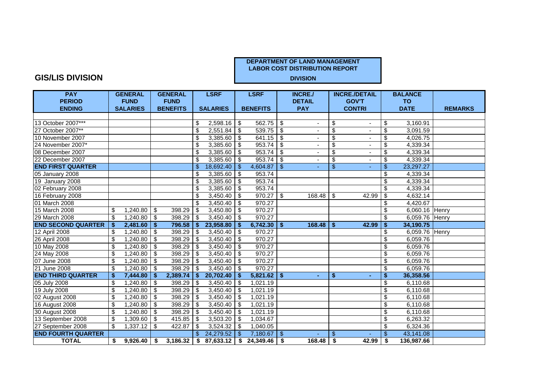#### **GIS/LIS DIVISION**

| <b>PAY</b>                |     | <b>GENERAL</b>  |               | <b>GENERAL</b>  |                | <b>LSRF</b>     |                         | <b>LSRF</b>     |            | <b>INCRE./</b>           |                          | <b>INCRE./DETAIL</b> |                                      | <b>BALANCE</b> |                |
|---------------------------|-----|-----------------|---------------|-----------------|----------------|-----------------|-------------------------|-----------------|------------|--------------------------|--------------------------|----------------------|--------------------------------------|----------------|----------------|
| <b>PERIOD</b>             |     | <b>FUND</b>     |               | <b>FUND</b>     |                |                 |                         |                 |            | <b>DETAIL</b>            |                          | <b>GOV'T</b>         |                                      | <b>TO</b>      |                |
| <b>ENDING</b>             |     | <b>SALARIES</b> |               | <b>BENEFITS</b> |                | <b>SALARIES</b> |                         | <b>BENEFITS</b> |            | <b>PAY</b>               |                          | <b>CONTRI</b>        |                                      | <b>DATE</b>    | <b>REMARKS</b> |
|                           |     |                 |               |                 |                |                 |                         |                 |            |                          |                          |                      |                                      |                |                |
| 13 October 2007***        |     |                 |               |                 | \$             | $2,598.16$ \$   |                         | $562.75$ \\$    |            |                          | \$                       |                      | \$                                   | 3,160.91       |                |
| 27 October 2007**         |     |                 |               |                 | \$             | 2,551.84        | -\$                     | $539.75$ \$     |            |                          | \$                       |                      | $\overline{\mathbf{s}}$              | 3,091.59       |                |
| 10 November 2007          |     |                 |               |                 | \$             | 3,385.60        | \$                      | $641.15$ \ \$   |            |                          | \$                       |                      | \$                                   | 4,026.75       |                |
| 24 November 2007*         |     |                 |               |                 | \$             | 3,385.60        | \$                      | $953.74$ \\$    |            |                          | \$                       |                      | \$                                   | 4,339.34       |                |
| 08 December 2007          |     |                 |               |                 | \$             | 3,385.60        | \$                      | $953.74$ \$     |            | $\overline{\phantom{a}}$ | \$                       |                      | \$                                   | 4,339.34       |                |
| 22 December 2007          |     |                 |               |                 | \$             | 3,385.60        | l \$                    | $953.74$ \\$    |            | $\blacksquare$           | $\overline{\mathcal{S}}$ |                      | \$                                   | 4,339.34       |                |
| <b>END FIRST QUARTER</b>  |     |                 |               |                 | $\mathfrak{L}$ | 18,692.40       | $\mathfrak{F}$          | 4,604.87        | $\bullet$  |                          | $\overline{\mathcal{S}}$ |                      | $\mathsf{\$}$                        | 23,297.27      |                |
| 05 January 2008           |     |                 |               |                 | \$             | 3,385.60        | \$                      | 953.74          |            |                          |                          |                      | \$                                   | 4,339.34       |                |
| 19 January 2008           |     |                 |               |                 | \$             | 3,385.60        | $\sqrt[6]{\frac{1}{2}}$ | 953.74          |            |                          |                          |                      | \$                                   | 4,339.34       |                |
| 02 February 2008          |     |                 |               |                 | \$             | 3,385.60        | \$                      | 953.74          |            |                          |                          |                      | $\overline{\mathbf{s}}$              | 4,339.34       |                |
| 16 February 2008          |     |                 |               |                 | \$             | 3,450.40        | \$                      | $970.27$ \$     |            | 168.48                   | \$                       | 42.99                | $\overline{\mathfrak{s}}$            | 4,632.14       |                |
| 01 March 2008             |     |                 |               |                 | \$             | 3,450.40        | \$                      | 970.27          |            |                          |                          |                      | \$                                   | 4,420.67       |                |
| 15 March 2008             | \$  | 1,240.80        | \$            | 398.29          | \$             | 3,450.80        | \$                      | 970.27          |            |                          |                          |                      | \$                                   | 6,060.16 Henry |                |
| 29 March 2008             | \$  | $1,240.80$ \$   |               | 398.29          | -\$            | 3,450.40        | -\$                     | 970.27          |            |                          |                          |                      | \$                                   | 6,059.76 Henry |                |
| <b>END SECOND QUARTER</b> | -\$ | 2,481.60        | $\sqrt[6]{3}$ | 796.58          | \$             | 23,958.80       | \$                      | $6,742.30$ \$   |            | 168.48                   | S.                       | 42.99                | $\overline{\boldsymbol{\mathsf{s}}}$ | 34,190.75      |                |
| 12 April 2008             | \$  | 1,240.80        | \$            | 398.29          | \$             | 3,450.40        | \$                      | 970.27          |            |                          |                          |                      | \$                                   | 6,059.76 Henry |                |
| 26 April 2008             | \$  | 1,240.80        | -\$           | 398.29          | -\$            | 3,450.40        | \$                      | 970.27          |            |                          |                          |                      | \$                                   | 6,059.76       |                |
| 10 May 2008               | \$  | 1,240.80        | \$            | 398.29          | \$             | 3,450.40        | \$                      | 970.27          |            |                          |                          |                      | \$                                   | 6,059.76       |                |
| 24 May 2008               | \$  | 1,240.80        | \$            | 398.29          | \$             | 3,450.40        | \$                      | 970.27          |            |                          |                          |                      | \$                                   | 6,059.76       |                |
| 07 June 2008              | \$  | 1,240.80        | -\$           | 398.29          | \$             | 3,450.40        | \$                      | 970.27          |            |                          |                          |                      | \$                                   | 6,059.76       |                |
| 21 June 2008              | \$  | 1,240.80        | -\$           | 398.29          | \$             | 3,450.40        | \$                      | 970.27          |            |                          |                          |                      | \$                                   | 6,059.76       |                |
| <b>END THIRD QUARTER</b>  | \$  | 7,444.80        | -\$           | 2,389.74        | Ŝ.             | 20,702.40       | Ŝ.                      | $5,821.62$   \$ |            | ٠                        | \$                       |                      | \$                                   | 36,358.56      |                |
| 05 July 2008              | \$  | 1,240.80        | -\$           | 398.29          | -\$            | 3,450.40        | $\sqrt{3}$              | 1,021.19        |            |                          |                          |                      | \$                                   | 6,110.68       |                |
| 19 July 2008              | \$  | 1,240.80        | \$            | 398.29          | \$             | 3,450.40        | l \$                    | 1,021.19        |            |                          |                          |                      | $\overline{\mathcal{S}}$             | 6,110.68       |                |
| 02 August 2008            | \$  | 1,240.80        | \$            | 398.29          | \$             | 3,450.40        | $\sqrt{3}$              | 1,021.19        |            |                          |                          |                      | \$                                   | 6,110.68       |                |
| 16 August 2008            | \$  | 1,240.80        | $\frac{1}{2}$ | 398.29          | \$             | 3,450.40        | \$                      | 1,021.19        |            |                          |                          |                      | \$                                   | 6,110.68       |                |
| 30 August 2008            | \$  | 1,240.80        | \$            | 398.29          | \$             | 3,450.40        | \$                      | 1,021.19        |            |                          |                          |                      | \$                                   | 6,110.68       |                |
| 13 September 2008         | \$  |                 |               | 415.85          | -\$            | 3,503.20        | -\$                     | 1,034.67        |            |                          |                          |                      | $\overline{\mathcal{S}}$             | 6,263.32       |                |
| 27 September 2008         | \$  | 1,337.12        | -\$           | 422.87          | \$             | 3,524.32        | \$                      | 1,040.05        |            |                          |                          |                      | \$                                   | 6,324.36       |                |
| <b>END FOURTH QUARTER</b> |     |                 |               |                 | \$.            | 24,279.52       | \$                      | 7,180.67        | $\sqrt{3}$ |                          | $\mathfrak{S}$           |                      | \$                                   | 43,141.08      |                |
| <b>TOTAL</b>              | \$  | $9,926.40$ \$   |               | 3,186.32        | \$             | $87,633.12$ \$  |                         | $24,349.46$ \$  |            | 168.48                   | \$                       | 42.99                | -\$                                  | 136,987.66     |                |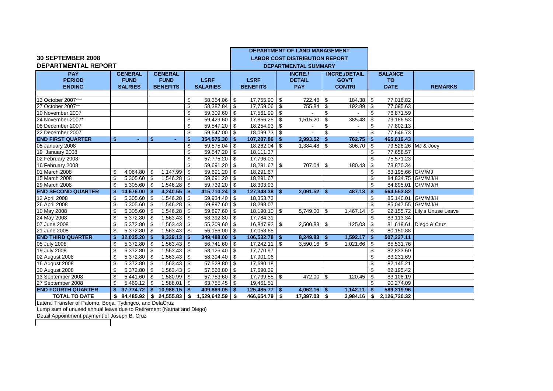|                            |    |                       |      |                          |              |                            |          |                        |     | <b>DEPARTMENT OF LAND MANAGEMENT</b>  |      |                      |     |                     |                              |
|----------------------------|----|-----------------------|------|--------------------------|--------------|----------------------------|----------|------------------------|-----|---------------------------------------|------|----------------------|-----|---------------------|------------------------------|
| <b>30 SEPTEMBER 2008</b>   |    |                       |      |                          |              |                            |          |                        |     | <b>LABOR COST DISTRIBUTION REPORT</b> |      |                      |     |                     |                              |
| <b>DEPARTMENTAL REPORT</b> |    |                       |      |                          |              |                            |          |                        |     | <b>DEPARTMENTAL SUMMARY</b>           |      |                      |     |                     |                              |
| <b>PAY</b>                 |    | <b>GENERAL</b>        |      | <b>GENERAL</b>           |              |                            |          |                        |     | <b>INCRE./</b>                        |      | <b>INCRE./DETAIL</b> |     | <b>BALANCE</b>      |                              |
| <b>PERIOD</b>              |    | <b>FUND</b>           |      | <b>FUND</b>              |              | <b>LSRF</b>                |          | <b>LSRF</b>            |     | <b>DETAIL</b>                         |      | <b>GOV'T</b>         |     | <b>TO</b>           |                              |
| <b>ENDING</b>              |    | <b>SALRIES</b>        |      | <b>BENEFITS</b>          |              | <b>SALARIES</b>            |          | <b>BENEFITS</b>        |     | <b>PAY</b>                            |      | <b>CONTRI</b>        |     | <b>DATE</b>         | <b>REMARKS</b>               |
|                            |    |                       |      |                          |              |                            |          |                        |     |                                       |      |                      |     |                     |                              |
| 13 October 2007***         |    |                       |      |                          | \$           | 58,354.06                  | - \$     | 17,755.90 \$           |     | 722.48                                | - \$ | 184.38               | -\$ | 77,016.82           |                              |
| 27 October 2007**          |    |                       |      |                          | \$           | $\overline{58,387.84}$     | \$       | 17,759.06 \$           |     | 755.84                                | \$   | 192.89               | -\$ | 77,095.63           |                              |
| 10 November 2007           |    |                       |      |                          | \$           | 59,309.60                  | -\$      | $17,561.99$ \$         |     |                                       | \$   |                      | \$  | 76,871.59           |                              |
| 24 November 2007*          |    |                       |      |                          | \$           | 59,429.60                  | \$       | 17,856.25 \$           |     | 1,515.20                              | \$   | 385.48               | \$  | 79,186.53           |                              |
| 08 December 2007           |    |                       |      |                          | \$           | 59,547.20                  | <b>S</b> | $18,254.93$ \$         |     |                                       | -\$  |                      | \$  | 77,802.13           |                              |
| 22 December 2007           |    |                       |      |                          | \$           | 59,547.00                  | - \$     | 18,099.73 \$           |     |                                       | \$   |                      | \$  | 77,646.73           |                              |
| <b>END FIRST QUARTER</b>   | \$ | $\blacksquare$        | \$   |                          | \$           | 354,575.30                 | -\$      | $107,287.86$ \$        |     | 2,993.52                              | -\$  | 762.75               | \$  | 465,619.43          |                              |
| 05 January 2008            |    |                       |      |                          | \$           | 59,575.04                  | -\$      | 18,262.04 \$           |     | 1,384.48                              | - \$ | 306.70               | -\$ | 79,528.26 MJ & Joey |                              |
| 19 January 2008            |    |                       |      |                          | \$           | 59,547.20                  | -\$      | 18,111.37              |     |                                       |      |                      | \$  | 77,658.57           |                              |
| 02 February 2008           |    |                       |      |                          | \$           | 57,775.20                  | -\$      | 17,796.03              |     |                                       |      |                      | \$  | 75,571.23           |                              |
| 16 February 2008           |    |                       |      |                          | \$           | 59,691.20                  | \$       | 18,291.67 \$           |     | 707.04                                | \$   | 180.43               | \$  | 78,870.34           |                              |
| 01 March 2008              | \$ | 4,064.80              | -\$  | 1,147.99                 | \$           | 59,691.20                  | -\$      | 18,291.67              |     |                                       |      |                      | \$  | 83,195.66 G/M/MJ    |                              |
| 15 March 2008              | \$ | 5,305.60              | -\$  | 1,546.28                 | -\$          | 59,691.20                  | -\$      | 18,291.67              |     |                                       |      |                      | \$  | 84,834.75 G/M/MJ/H  |                              |
| 29 March 2008              | \$ | 5.305.60              | -\$  | 1,546.28                 | $\mathsf{s}$ | 59,739.20                  | \$       | 18,303.93              |     |                                       |      |                      | \$  | 84.895.01           | G/M/MJ/H                     |
| <b>END SECOND QUARTER</b>  | \$ | 14,676.00             | -S   | 4,240.55                 | Ŝ.           | 415,710.24                 | -\$      | 127,348.38             | -\$ | 2,091.52                              | -S   | 487.13               | Ŝ.  | 564,553.82          |                              |
| 12 April 2008              | \$ | 5,305.60              | -\$  | 1,546.28                 | \$           | 59,934.40                  | \$       | 18,353.73              |     |                                       |      |                      | \$  | 85,140.01 G/M/MJ/H  |                              |
| 26 April 2008              | \$ | 5,305.60              | -\$  | 1,546.28                 | -\$          | 59,897.60                  | -\$      | 18,298.07              |     |                                       |      |                      | \$  | 85,047.55 G/M/MJ/H  |                              |
| 10 May 2008                | \$ | 5,305.60              | -\$  | 1,546.28                 | \$           | 59,897.60                  | \$       | $18,190.10$ \$         |     | 5,749.00                              | \$   | 1,467.14             | -\$ |                     | 92,155.72 Lily's Unuse Leave |
| 24 May 2008                | \$ | 5,372.80              | -\$  | $1,563.43$ \$            |              | 58,392.80                  | \$       | 17,784.31              |     |                                       |      |                      | \$  | 83,113.34           |                              |
| 07 June 2008               | \$ | 5,372.80              | -\$  | $1,563.43$ \$            |              | 55,209.60                  | -\$      | $16,847.92$ \$         |     | 2,500.83                              | -\$  | 125.03               | \$  |                     | 81,619.61 Diego & Cruz       |
| 21 June 2008               | \$ | 5,372.80              | -\$  | $\overline{1,563.43}$ \$ |              | $\overline{56, 156.00}$ \$ |          | 17,058.65              |     |                                       |      |                      | \$  | 80,150.88           |                              |
| <b>END THIRD QUARTER</b>   | \$ | 32,035.20             | - \$ | 9,329.13                 | -\$          | 349,488.00                 | -\$      | $106,532.78$ \$        |     | 8,249.83                              | - \$ | 1,592.17             | \$  | 507,227.11          |                              |
| 05 July 2008               | \$ | $\overline{5,}372.80$ | -\$  | $1,563.43$ \$            |              | $\overline{56}$ , 741.60   | -\$      | $17,242.11$ \\$        |     | 3,590.16                              | -\$  | 1,021.66             | -\$ | 85,531.76           |                              |
| 19 July 2008               | \$ | 5,372.80              | - \$ | $1,563.43$ \$            |              | 58,126.40                  | \$       | 17,770.97              |     |                                       |      |                      | \$  | 82,833.60           |                              |
| 02 August 2008             | \$ | 5,372.80              | - \$ | 1,563.43                 | -\$          | 58,394.40                  | \$       | 17,901.06              |     |                                       |      |                      | \$  | 83,231.69           |                              |
| 16 August 2008             | \$ | 5,372.80              | -\$  | 1,563.43                 | \$           | 57,528.80                  | \$       | 17,680.18              |     |                                       |      |                      | \$  | 82,145.21           |                              |
| 30 August 2008             | \$ | 5,372.80              | -\$  | 1,563.43                 | -\$          | 57,568.80                  | \$       | $\overline{17},690.39$ |     |                                       |      |                      | \$  | 82,195.42           |                              |
| 13 September 2008          | \$ | 5,441.60              | \$   | 1,580.99                 | -\$          | 57,753.60                  | \$       | $17,739.55$ \$         |     | 472.00                                | \$   | 120.45               | \$  | 83,108.19           |                              |
| 27 September 2008          | \$ | 5,469.12              | -\$  | $1,588.01$ \$            |              | 63,755.45                  | -\$      | 19,461.51              |     |                                       |      |                      | \$  | 90,274.09           |                              |
| <b>END FOURTH QUARTER</b>  | \$ | 37,774.72             | -\$  | 10,986.15                | -\$          | 409,869.05                 | -\$      | 125,485.77             | -\$ | 4,062.16                              | -\$  | 1,142.11             | \$  | 589,319.96          |                              |
| <b>TOTAL TO DATE</b>       | \$ | 84.485.92             | \$   | 24.555.83                | \$           | 1.529.642.59               | -\$      | 466.654.79 \$          |     | 17.397.03                             | -\$  | $3.984.16$ \$        |     | 2.126.720.32        |                              |

Lateral Transfer of Palomo, Borja, Tydingco, and DelaCruz

Lump sum of unused annual leave due to Retirement (Natnat and Diego)

Detail Appointment payment of Joseph B. Cruzthe contract of the contract of the contract of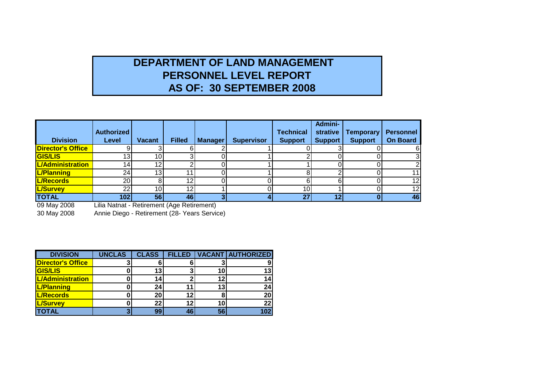# **DEPARTMENT OF LAND MANAGEMENT PERSONNEL LEVEL REPORT AS OF: 30 SEPTEMBER 2008**

| <b>Division</b>          | <b>Authorized</b><br>Level                                       | <b>Vacant</b>   | <b>Filled</b> | <b>Manager</b> | <b>Supervisor</b> | <b>Technical</b><br><b>Support</b> | <b>Admini-</b><br>strative<br><b>Support</b> | Temporary<br><b>Support</b> | <b>Personnel</b><br><b>On Board</b> |
|--------------------------|------------------------------------------------------------------|-----------------|---------------|----------------|-------------------|------------------------------------|----------------------------------------------|-----------------------------|-------------------------------------|
| <b>Director's Office</b> |                                                                  |                 |               |                |                   |                                    |                                              |                             |                                     |
| <b>GIS/LIS</b>           | 13I                                                              | 10ı             |               |                |                   |                                    |                                              |                             |                                     |
| <b>L/Administration</b>  | 141                                                              | 12              |               |                |                   |                                    |                                              |                             |                                     |
| <b>L/Planning</b>        | 24                                                               | 13 <sub>1</sub> |               |                |                   |                                    |                                              |                             |                                     |
| <b>L/Records</b>         | <b>20</b>                                                        |                 | 12            |                |                   |                                    |                                              |                             | 12                                  |
| <b>L/Survey</b>          | 22I                                                              | 10              | 1つ            |                |                   | 10                                 |                                              |                             | 12I                                 |
| <b>TOTAL</b>             | 102                                                              | 56 <sub>l</sub> | 46 l          |                |                   | 27                                 | 12                                           |                             | 46                                  |
| $00.11$ $0000$           | Little Model of the December of the compact control of $\Lambda$ |                 |               |                |                   |                                    |                                              |                             |                                     |

09 May 2008 Lilia Natnat - Retirement (Age Retirement)

30 May 2008 Annie Diego - Retirement (28- Years Service)

| <b>DIVISION</b>          | <b>UNCLAS</b> | <b>CLASS</b> | FILLED |    | <b>VACANT AUTHORIZED</b> |
|--------------------------|---------------|--------------|--------|----|--------------------------|
| <b>Director's Office</b> |               |              |        |    |                          |
| <b>GIS/LIS</b>           |               | 13           |        | 10 | 13                       |
| L/Administration         |               | 14           |        | 12 | 14                       |
| L/Planning               |               | 24           | 11     | 13 | 24                       |
| <b>L/Records</b>         |               | 20           | 12     |    | 20                       |
| <b>L/Survey</b>          |               | 22           | 12     | 10 | 22                       |
| <b>TOTAL</b>             |               | 99           | 46     | 56 | 102                      |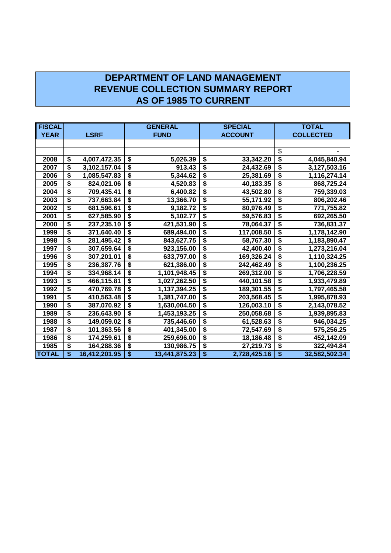## **DEPARTMENT OF LAND MANAGEMENT REVENUE COLLECTION SUMMARY REPORT AS OF 1985 TO CURRENT**

| <b>FISCAL</b> |                     | <b>GENERAL</b>                       |               |                                      | <b>SPECIAL</b> | <b>TOTAL</b>                         |                  |  |
|---------------|---------------------|--------------------------------------|---------------|--------------------------------------|----------------|--------------------------------------|------------------|--|
| <b>YEAR</b>   | <b>LSRF</b>         |                                      | <b>FUND</b>   |                                      | <b>ACCOUNT</b> |                                      | <b>COLLECTED</b> |  |
|               |                     |                                      |               |                                      |                |                                      |                  |  |
|               |                     |                                      |               |                                      |                | \$                                   |                  |  |
| 2008          | \$<br>4,007,472.35  | \$                                   | 5,026.39      | \$                                   | 33,342.20      | \$                                   | 4,045,840.94     |  |
| 2007          | \$<br>3,102,157.04  | \$                                   | 913.43        | \$                                   | 24,432.69      | \$                                   | 3,127,503.16     |  |
| 2006          | \$<br>1,085,547.83  | \$                                   | 5,344.62      | \$                                   | 25,381.69      | \$                                   | 1,116,274.14     |  |
| 2005          | \$<br>824,021.06    | \$                                   | 4,520.83      | \$                                   | 40,183.35      | $\overline{\boldsymbol{\mathsf{s}}}$ | 868,725.24       |  |
| 2004          | \$<br>709,435.41    | \$                                   | 6,400.82      | \$                                   | 43,502.80      | \$                                   | 759,339.03       |  |
| 2003          | \$<br>737,663.84    | \$                                   | 13,366.70     | $\overline{\boldsymbol{\mathsf{s}}}$ | 55,171.92      | $\overline{\boldsymbol{\mathsf{s}}}$ | 806,202.46       |  |
| 2002          | \$<br>681,596.61    | \$                                   | 9,182.72      | \$                                   | 80,976.49      | \$                                   | 771,755.82       |  |
| 2001          | \$<br>627,585.90    | $\overline{\boldsymbol{\mathsf{s}}}$ | 5,102.77      | $\overline{\boldsymbol{\mathsf{s}}}$ | 59,576.83      | \$                                   | 692,265.50       |  |
| 2000          | \$<br>237,235.10    | \$                                   | 421,531.90    | \$                                   | 78,064.37      | \$                                   | 736,831.37       |  |
| 1999          | \$<br>371,640.40    | $\overline{\boldsymbol{\mathsf{s}}}$ | 689,494.00    | \$                                   | 117,008.50     | $\overline{\boldsymbol{\mathsf{s}}}$ | 1,178,142.90     |  |
| 1998          | \$<br>281,495.42    | $\overline{\boldsymbol{\mathsf{s}}}$ | 843,627.75    | $\overline{\boldsymbol{\mathsf{s}}}$ | 58,767.30      | \$                                   | 1,183,890.47     |  |
| 1997          | \$<br>307,659.64    | $\overline{\boldsymbol{\epsilon}}$   | 923,156.00    | $\overline{\$}$                      | 42,400.40      | \$                                   | 1,273,216.04     |  |
| 1996          | \$<br>307,201.01    | $\overline{\boldsymbol{\mathsf{s}}}$ | 633,797.00    | $\overline{\boldsymbol{\mathsf{s}}}$ | 169,326.24     | \$                                   | 1,110,324.25     |  |
| 1995          | \$<br>236,387.76    | $\overline{\boldsymbol{\epsilon}}$   | 621,386.00    | $\overline{\$}$                      | 242,462.49     | \$                                   | 1,100,236.25     |  |
| 1994          | \$<br>334,968.14    | $\overline{\boldsymbol{\mathsf{s}}}$ | 1,101,948.45  | $\overline{\$}$                      | 269,312.00     | \$                                   | 1,706,228.59     |  |
| 1993          | \$<br>466,115.81    | \$                                   | 1,027,262.50  | \$                                   | 440,101.58     | $\overline{\$}$                      | 1,933,479.89     |  |
| 1992          | \$<br>470,769.78    | $\overline{\boldsymbol{\mathsf{s}}}$ | 1,137,394.25  | \$                                   | 189,301.55     | \$                                   | 1,797,465.58     |  |
| 1991          | \$<br>410,563.48    | $\overline{\$}$                      | 1,381,747.00  | $\overline{\boldsymbol{\mathsf{s}}}$ | 203,568.45     | $\overline{\boldsymbol{\mathsf{s}}}$ | 1,995,878.93     |  |
| 1990          | \$<br>387,070.92    | $\overline{\boldsymbol{\mathsf{s}}}$ | 1,630,004.50  | $\overline{\boldsymbol{\mathsf{s}}}$ | 126,003.10     | \$                                   | 2,143,078.52     |  |
| 1989          | \$<br>236,643.90    | $\overline{\boldsymbol{\mathsf{s}}}$ | 1,453,193.25  | $\overline{\$}$                      | 250,058.68     | $\overline{\$}$                      | 1,939,895.83     |  |
| 1988          | \$<br>149,059.02    | \$                                   | 735,446.60    | $\overline{\$}$                      | 61,528.63      | \$                                   | 946,034.25       |  |
| 1987          | \$<br>101,363.56    | \$                                   | 401,345.00    | $\overline{\$}$                      | 72,547.69      | \$                                   | 575,256.25       |  |
| 1986          | \$<br>174,259.61    | $\overline{\boldsymbol{\mathsf{s}}}$ | 259,696.00    | $\overline{\boldsymbol{\mathsf{s}}}$ | 18,186.48      | $\overline{\boldsymbol{\mathsf{s}}}$ | 452,142.09       |  |
| 1985          | \$<br>164,288.36    | $\overline{\boldsymbol{\mathsf{s}}}$ | 130,986.75    | \$                                   | 27,219.73      | \$                                   | 322,494.84       |  |
| <b>TOTAL</b>  | \$<br>16,412,201.95 | $\overline{\$}$                      | 13,441,875.23 | $\overline{\$}$                      | 2,728,425.16   | $\overline{\$}$                      | 32,582,502.34    |  |